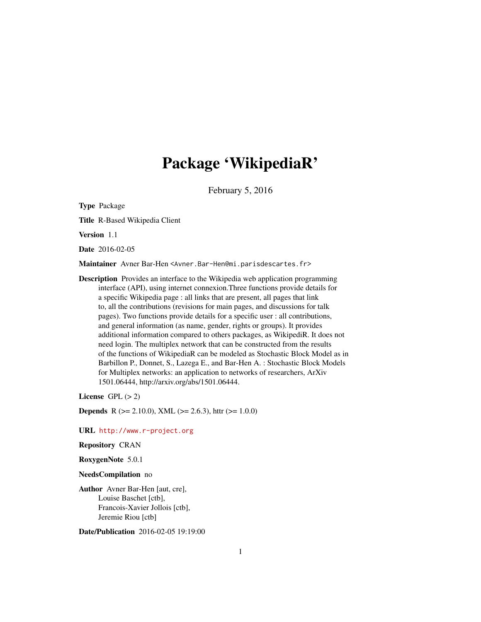## Package 'WikipediaR'

February 5, 2016

<span id="page-0-0"></span>Type Package

Title R-Based Wikipedia Client

Version 1.1

Date 2016-02-05

Maintainer Avner Bar-Hen <Avner.Bar-Hen@mi.parisdescartes.fr>

Description Provides an interface to the Wikipedia web application programming interface (API), using internet connexion.Three functions provide details for a specific Wikipedia page : all links that are present, all pages that link to, all the contributions (revisions for main pages, and discussions for talk pages). Two functions provide details for a specific user : all contributions, and general information (as name, gender, rights or groups). It provides additional information compared to others packages, as WikipediR. It does not need login. The multiplex network that can be constructed from the results of the functions of WikipediaR can be modeled as Stochastic Block Model as in Barbillon P., Donnet, S., Lazega E., and Bar-Hen A. : Stochastic Block Models for Multiplex networks: an application to networks of researchers, ArXiv 1501.06444, http://arxiv.org/abs/1501.06444.

License  $GPL (> 2)$ 

**Depends** R ( $>= 2.10.0$ ), XML ( $>= 2.6.3$ ), httr ( $>= 1.0.0$ )

URL <http://www.r-project.org>

Repository CRAN

RoxygenNote 5.0.1

NeedsCompilation no

Author Avner Bar-Hen [aut, cre], Louise Baschet [ctb], Francois-Xavier Jollois [ctb], Jeremie Riou [ctb]

Date/Publication 2016-02-05 19:19:00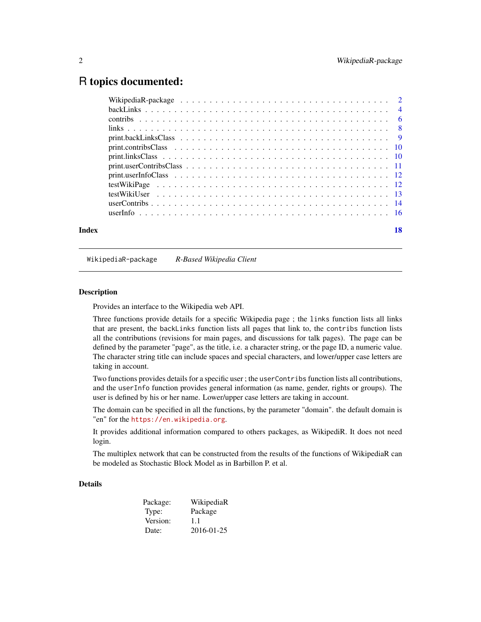## <span id="page-1-0"></span>R topics documented:

|       | $print.userContribsClass \dots \dots \dots \dots \dots \dots \dots \dots \dots \dots \dots \dots \dots \dots \dots \dots \dots \dots$ |    |
|-------|---------------------------------------------------------------------------------------------------------------------------------------|----|
|       |                                                                                                                                       |    |
|       |                                                                                                                                       |    |
|       |                                                                                                                                       |    |
|       |                                                                                                                                       |    |
|       |                                                                                                                                       |    |
| Index |                                                                                                                                       | 18 |

WikipediaR-package *R-Based Wikipedia Client*

## **Description**

Provides an interface to the Wikipedia web API.

Three functions provide details for a specific Wikipedia page ; the links function lists all links that are present, the backLinks function lists all pages that link to, the contribs function lists all the contributions (revisions for main pages, and discussions for talk pages). The page can be defined by the parameter "page", as the title, i.e. a character string, or the page ID, a numeric value. The character string title can include spaces and special characters, and lower/upper case letters are taking in account.

Two functions provides details for a specific user ; the userContribs function lists all contributions, and the userInfo function provides general information (as name, gender, rights or groups). The user is defined by his or her name. Lower/upper case letters are taking in account.

The domain can be specified in all the functions, by the parameter "domain". the default domain is "en" for the <https://en.wikipedia.org>.

It provides additional information compared to others packages, as WikipediR. It does not need login.

The multiplex network that can be constructed from the results of the functions of WikipediaR can be modeled as Stochastic Block Model as in Barbillon P. et al.

## Details

| Package: | WikipediaR |
|----------|------------|
| Type:    | Package    |
| Version: | 1.1        |
| Date:    | 2016-01-25 |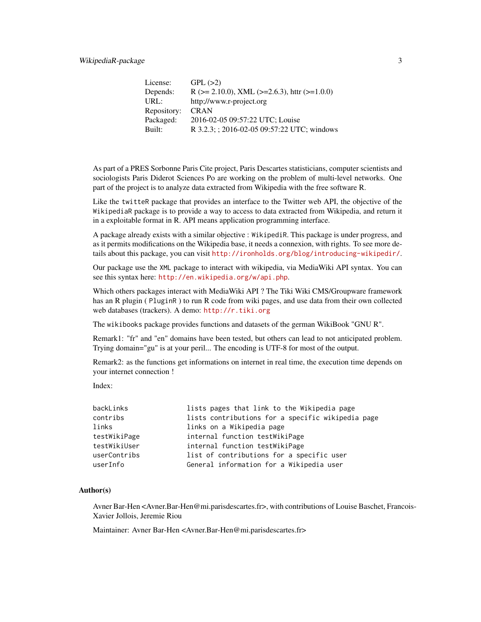| License:    | GPL(>2)                                                    |
|-------------|------------------------------------------------------------|
| Depends:    | R ( $>= 2.10.0$ ), XML ( $>= 2.6.3$ ), http ( $>= 1.0.0$ ) |
| URL:        | http://www.r-project.org                                   |
| Repository: | <b>CRAN</b>                                                |
| Packaged:   | 2016-02-05 09:57:22 UTC; Louise                            |
| Built:      | R 3.2.3; ; 2016-02-05 09:57:22 UTC; windows                |

As part of a PRES Sorbonne Paris Cite project, Paris Descartes statisticians, computer scientists and sociologists Paris Diderot Sciences Po are working on the problem of multi-level networks. One part of the project is to analyze data extracted from Wikipedia with the free software R.

Like the twitteR package that provides an interface to the Twitter web API, the objective of the WikipediaR package is to provide a way to access to data extracted from Wikipedia, and return it in a exploitable format in R. API means application programming interface.

A package already exists with a similar objective : WikipediR. This package is under progress, and as it permits modifications on the Wikipedia base, it needs a connexion, with rights. To see more details about this package, you can visit <http://ironholds.org/blog/introducing-wikipedir/>.

Our package use the XML package to interact with wikipedia, via MediaWiki API syntax. You can see this syntax here: <http://en.wikipedia.org/w/api.php>.

Which others packages interact with MediaWiki API ? The Tiki Wiki CMS/Groupware framework has an R plugin (PluginR) to run R code from wiki pages, and use data from their own collected web databases (trackers). A demo: <http://r.tiki.org>

The wikibooks package provides functions and datasets of the german WikiBook "GNU R".

Remark1: "fr" and "en" domains have been tested, but others can lead to not anticipated problem. Trying domain="gu" is at your peril... The encoding is UTF-8 for most of the output.

Remark2: as the functions get informations on internet in real time, the execution time depends on your internet connection !

Index:

| backLinks    | lists pages that link to the Wikipedia page       |
|--------------|---------------------------------------------------|
| contribs     | lists contributions for a specific wikipedia page |
| links        | links on a Wikipedia page                         |
| testWikiPage | internal function testWikiPage                    |
| testWikiUser | internal function testWikiPage                    |
| userContribs | list of contributions for a specific user         |
| userInfo     | General information for a Wikipedia user          |

#### Author(s)

Avner Bar-Hen <Avner.Bar-Hen@mi.parisdescartes.fr>, with contributions of Louise Baschet, Francois-Xavier Jollois, Jeremie Riou

Maintainer: Avner Bar-Hen <Avner.Bar-Hen@mi.parisdescartes.fr>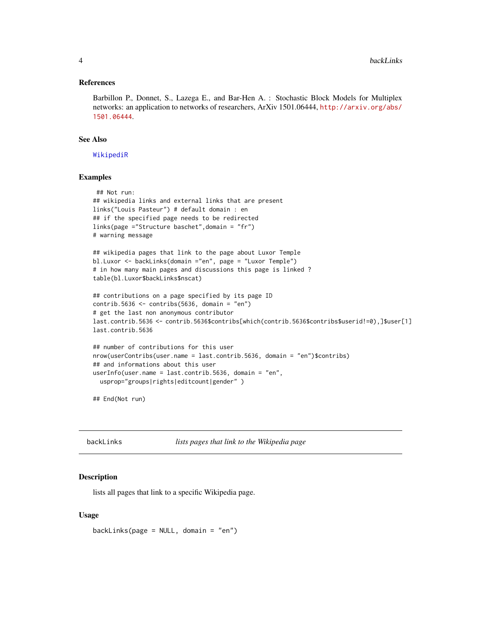#### <span id="page-3-0"></span>References

Barbillon P., Donnet, S., Lazega E., and Bar-Hen A. : Stochastic Block Models for Multiplex networks: an application to networks of researchers, ArXiv 1501.06444, [http://arxiv.org/abs/](http://arxiv.org/abs/1501.06444) [1501.06444](http://arxiv.org/abs/1501.06444).

## See Also

[WikipediR](#page-0-0)

#### Examples

```
## Not run:
## wikipedia links and external links that are present
links("Louis Pasteur") # default domain : en
## if the specified page needs to be redirected
links(page ="Structure baschet",domain = "fr")
# warning message
## wikipedia pages that link to the page about Luxor Temple
bl.Luxor <- backLinks(domain ="en", page = "Luxor Temple")
# in how many main pages and discussions this page is linked ?
table(bl.Luxor$backLinks$nscat)
## contributions on a page specified by its page ID
contrib.5636 \le contribs(5636, domain = "en")
# get the last non anonymous contributor
last.contrib.5636 <- contrib.5636$contribs[which(contrib.5636$contribs$userid!=0),]$user[1]
last.contrib.5636
## number of contributions for this user
```

```
nrow(userContribs(user.name = last.contrib.5636, domain = "en")$contribs)
## and informations about this user
userInfo(user.name = last.contrib.5636, domain = "en",
 usprop="groups|rights|editcount|gender")
```
## End(Not run)

backLinks *lists pages that link to the Wikipedia page*

#### **Description**

lists all pages that link to a specific Wikipedia page.

## Usage

backLinks(page = NULL, domain = "en")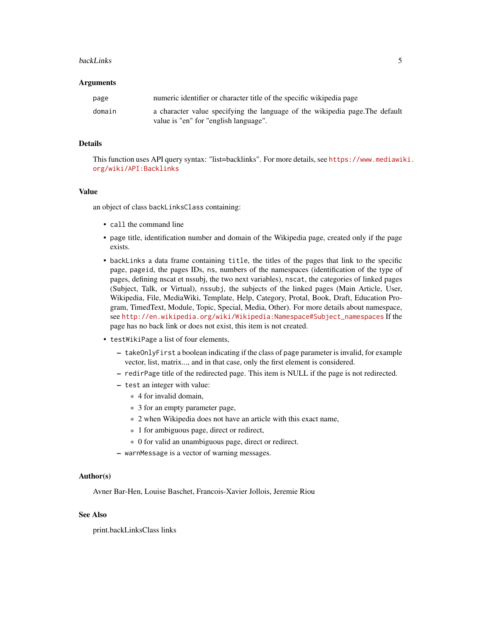#### backLinks 5

#### Arguments

| page   | numeric identifier or character title of the specific wikipedia page                                                  |
|--------|-----------------------------------------------------------------------------------------------------------------------|
| domain | a character value specifying the language of the wikipedia page. The default<br>value is "en" for "english language". |

## Details

This function uses API query syntax: "list=backlinks". For more details, see [https://www.mediawi](https://www.mediawiki.org/wiki/API:Backlinks)ki. [org/wiki/API:Backlinks](https://www.mediawiki.org/wiki/API:Backlinks)

## Value

an object of class backLinksClass containing:

- call the command line
- page title, identification number and domain of the Wikipedia page, created only if the page exists.
- backLinks a data frame containing title, the titles of the pages that link to the specific page, pageid, the pages IDs, ns, numbers of the namespaces (identification of the type of pages, defining nscat et nssubj, the two next variables), nscat, the categories of linked pages (Subject, Talk, or Virtual), nssubj, the subjects of the linked pages (Main Article, User, Wikipedia, File, MediaWiki, Template, Help, Category, Protal, Book, Draft, Education Program, TimedText, Module, Topic, Special, Media, Other). For more details about namespace, see [http://en.wikipedia.org/wiki/Wikipedia:Namespace#Subject\\_namespaces](http://en.wikipedia.org/wiki/Wikipedia:Namespace#Subject_namespaces) If the page has no back link or does not exist, this item is not created.
- testWikiPage a list of four elements,
	- takeOnlyFirst a boolean indicating if the class of page parameter is invalid, for example vector, list, matrix..., and in that case, only the first element is considered.
	- redirPage title of the redirected page. This item is NULL if the page is not redirected.
	- test an integer with value:
		- \* 4 for invalid domain,
		- \* 3 for an empty parameter page,
		- \* 2 when Wikipedia does not have an article with this exact name,
		- \* 1 for ambiguous page, direct or redirect,
		- \* 0 for valid an unambiguous page, direct or redirect.
	- warnMessage is a vector of warning messages.

#### Author(s)

Avner Bar-Hen, Louise Baschet, Francois-Xavier Jollois, Jeremie Riou

## See Also

print.backLinksClass links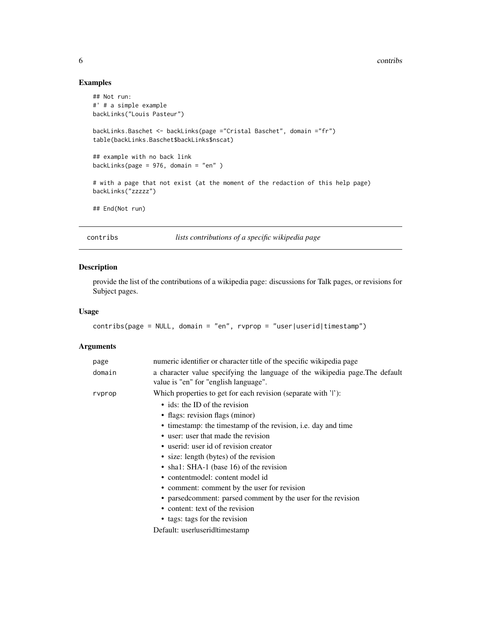#### 6 contribs contribution of the contribution of the contribution of the contribution of the contribution of the contribution of the contribution of the contribution of the contribution of the contribution of the contributio

## Examples

```
## Not run:
#' # a simple example
backLinks("Louis Pasteur")
backLinks.Baschet <- backLinks(page ="Cristal Baschet", domain ="fr")
table(backLinks.Baschet$backLinks$nscat)
## example with no back link
backLinks(page = 976, domain = "en" )
# with a page that not exist (at the moment of the redaction of this help page)
backLinks("zzzzz")
## End(Not run)
```
contribs *lists contributions of a specific wikipedia page*

## Description

provide the list of the contributions of a wikipedia page: discussions for Talk pages, or revisions for Subject pages.

## Usage

```
contribs(page = NULL, domain = "en", rvprop = "user|userid|timestamp")
```
## Arguments

| page   | numeric identifier or character title of the specific wikipedia page                                                  |
|--------|-----------------------------------------------------------------------------------------------------------------------|
| domain | a character value specifying the language of the wikipedia page. The default<br>value is "en" for "english language". |
| rvprop | Which properties to get for each revision (separate with 'l'):                                                        |
|        | • ids: the ID of the revision                                                                                         |
|        | • flags: revision flags (minor)                                                                                       |
|        | • timestamp: the timestamp of the revision, i.e. day and time                                                         |
|        | • user: user that made the revision                                                                                   |
|        | • userid: user id of revision creator                                                                                 |
|        | • size: length (bytes) of the revision                                                                                |
|        | • shal: SHA-1 (base 16) of the revision                                                                               |
|        | • contentmodel: content model id                                                                                      |
|        | • comment: comment by the user for revision                                                                           |
|        | • parsed comment: parsed comment by the user for the revision                                                         |
|        | • content: text of the revision                                                                                       |
|        | • tags: tags for the revision                                                                                         |
|        | Default: userluseriditimestamp                                                                                        |
|        |                                                                                                                       |

<span id="page-5-0"></span>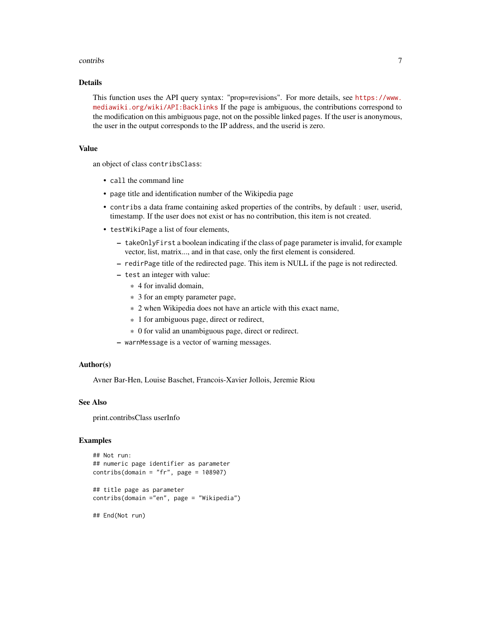#### contribs  $\overline{7}$

## Details

This function uses the API query syntax: "prop=revisions". For more details, see [https://www.](https://www.mediawiki.org/wiki/API:Backlinks) [mediawiki.org/wiki/API:Backlinks](https://www.mediawiki.org/wiki/API:Backlinks) If the page is ambiguous, the contributions correspond to the modification on this ambiguous page, not on the possible linked pages. If the user is anonymous, the user in the output corresponds to the IP address, and the userid is zero.

#### Value

an object of class contribsClass:

- call the command line
- page title and identification number of the Wikipedia page
- contribs a data frame containing asked properties of the contribs, by default : user, userid, timestamp. If the user does not exist or has no contribution, this item is not created.
- testWikiPage a list of four elements,
	- takeOnlyFirst a boolean indicating if the class of page parameter is invalid, for example vector, list, matrix..., and in that case, only the first element is considered.
	- redirPage title of the redirected page. This item is NULL if the page is not redirected.
	- test an integer with value:
		- \* 4 for invalid domain,
		- \* 3 for an empty parameter page,
		- \* 2 when Wikipedia does not have an article with this exact name,
		- \* 1 for ambiguous page, direct or redirect,
		- \* 0 for valid an unambiguous page, direct or redirect.
	- warnMessage is a vector of warning messages.

#### Author(s)

Avner Bar-Hen, Louise Baschet, Francois-Xavier Jollois, Jeremie Riou

## See Also

print.contribsClass userInfo

#### Examples

```
## Not run:
## numeric page identifier as parameter
contribs(domain = "fr", page = 108907)
## title page as parameter
contribs(domain ="en", page = "Wikipedia")
```
## End(Not run)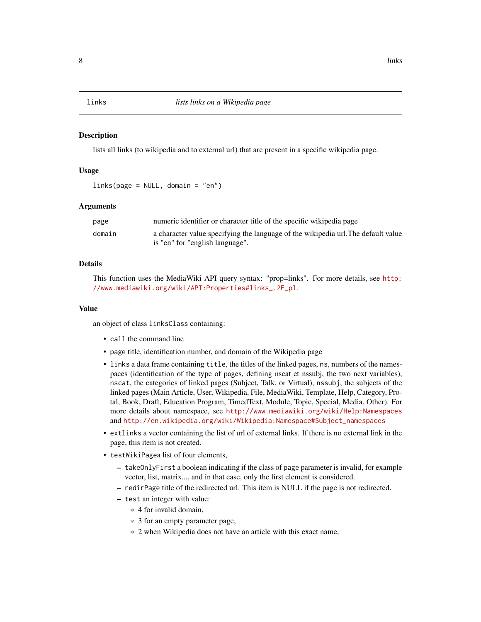#### <span id="page-7-0"></span>Description

lists all links (to wikipedia and to external url) that are present in a specific wikipedia page.

## Usage

links(page = NULL, domain = "en")

## Arguments

| page   | numeric identifier or character title of the specific wikipedia page              |
|--------|-----------------------------------------------------------------------------------|
| domain | a character value specifying the language of the wikipedia url. The default value |
|        | is "en" for "english language".                                                   |

## Details

This function uses the MediaWiki API query syntax: "prop=links". For more details, see [http:](http://www.mediawiki.org/wiki/API:Properties#links_.2F_pl) [//www.mediawiki.org/wiki/API:Properties#links\\_.2F\\_pl](http://www.mediawiki.org/wiki/API:Properties#links_.2F_pl).

#### Value

an object of class linksClass containing:

- call the command line
- page title, identification number, and domain of the Wikipedia page
- links a data frame containing title, the titles of the linked pages, ns, numbers of the namespaces (identification of the type of pages, defining nscat et nssubj, the two next variables), nscat, the categories of linked pages (Subject, Talk, or Virtual), nssubj, the subjects of the linked pages (Main Article, User, Wikipedia, File, MediaWiki, Template, Help, Category, Protal, Book, Draft, Education Program, TimedText, Module, Topic, Special, Media, Other). For more details about namespace, see <http://www.mediawiki.org/wiki/Help:Namespaces> and [http://en.wikipedia.org/wiki/Wikipedia:Namespace#Subject\\_namespaces](http://en.wikipedia.org/wiki/Wikipedia:Namespace#Subject_namespaces)
- extlinks a vector containing the list of url of external links. If there is no external link in the page, this item is not created.
- testWikiPagea list of four elements,
	- takeOnlyFirst a boolean indicating if the class of page parameter is invalid, for example vector, list, matrix..., and in that case, only the first element is considered.
	- redirPage title of the redirected url. This item is NULL if the page is not redirected.
	- test an integer with value:
		- \* 4 for invalid domain,
		- \* 3 for an empty parameter page,
		- \* 2 when Wikipedia does not have an article with this exact name,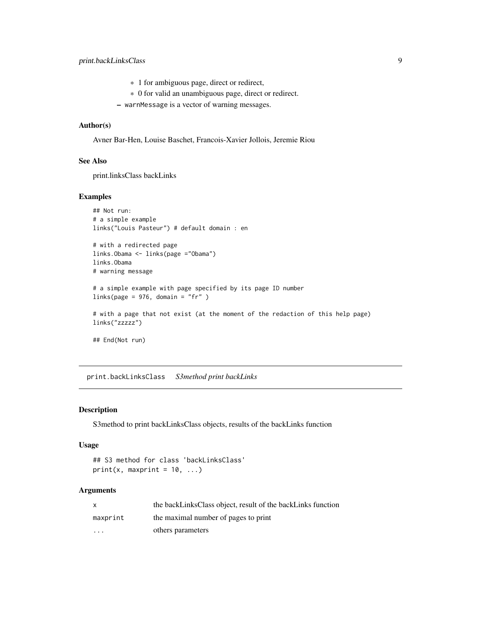- <span id="page-8-0"></span>\* 1 for ambiguous page, direct or redirect,
- \* 0 for valid an unambiguous page, direct or redirect.
- warnMessage is a vector of warning messages.

## Author(s)

Avner Bar-Hen, Louise Baschet, Francois-Xavier Jollois, Jeremie Riou

## See Also

print.linksClass backLinks

#### Examples

```
## Not run:
# a simple example
links("Louis Pasteur") # default domain : en
```
# with a redirected page links.Obama <- links(page ="Obama") links.Obama # warning message

```
# a simple example with page specified by its page ID number
links(page = 976, domain = "fr" )
```

```
# with a page that not exist (at the moment of the redaction of this help page)
links("zzzzz")
```
## End(Not run)

print.backLinksClass *S3method print backLinks*

## Description

S3method to print backLinksClass objects, results of the backLinks function

#### Usage

```
## S3 method for class 'backLinksClass'
print(x, maxprint = 10, ...)
```
#### Arguments

|                      | the backLinksClass object, result of the backLinks function |
|----------------------|-------------------------------------------------------------|
| maxprint             | the maximal number of pages to print                        |
| $\ddot{\phantom{0}}$ | others parameters                                           |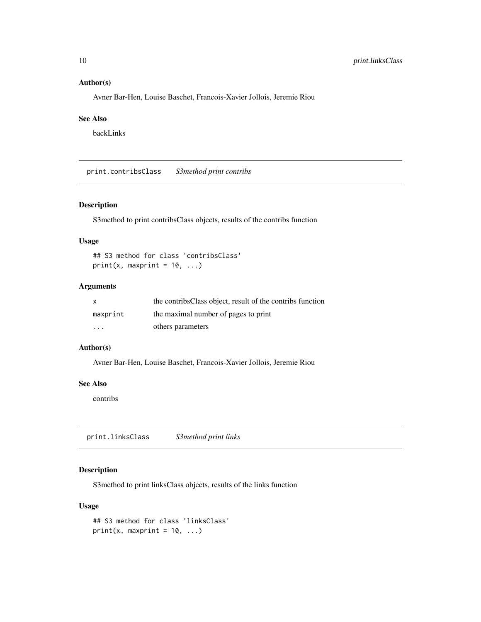## <span id="page-9-0"></span>Author(s)

Avner Bar-Hen, Louise Baschet, Francois-Xavier Jollois, Jeremie Riou

## See Also

backLinks

print.contribsClass *S3method print contribs*

## Description

S3method to print contribsClass objects, results of the contribs function

#### Usage

## S3 method for class 'contribsClass'  $print(x, maxprint = 10, ...)$ 

## Arguments

| X                       | the contribs Class object, result of the contribs function |
|-------------------------|------------------------------------------------------------|
| maxprint                | the maximal number of pages to print                       |
| $\cdot$ $\cdot$ $\cdot$ | others parameters                                          |

#### Author(s)

Avner Bar-Hen, Louise Baschet, Francois-Xavier Jollois, Jeremie Riou

## See Also

contribs

print.linksClass *S3method print links*

## Description

S3method to print linksClass objects, results of the links function

## Usage

```
## S3 method for class 'linksClass'
print(x, maxprint = 10, ...)
```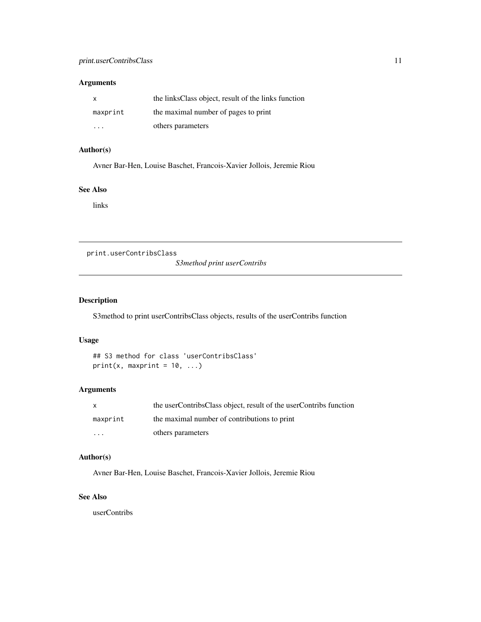## <span id="page-10-0"></span>Arguments

| $\mathsf{X}$ | the links Class object, result of the links function |
|--------------|------------------------------------------------------|
| maxprint     | the maximal number of pages to print                 |
| .            | others parameters                                    |

## Author(s)

Avner Bar-Hen, Louise Baschet, Francois-Xavier Jollois, Jeremie Riou

## See Also

links

print.userContribsClass

*S3method print userContribs*

## Description

S3method to print userContribsClass objects, results of the userContribs function

## Usage

```
## S3 method for class 'userContribsClass'
print(x, maxprint = 10, ...)
```
## Arguments

| X.                      | the userContribsClass object, result of the userContribs function |
|-------------------------|-------------------------------------------------------------------|
| maxprint                | the maximal number of contributions to print                      |
| $\cdot$ $\cdot$ $\cdot$ | others parameters                                                 |

## Author(s)

Avner Bar-Hen, Louise Baschet, Francois-Xavier Jollois, Jeremie Riou

## See Also

userContribs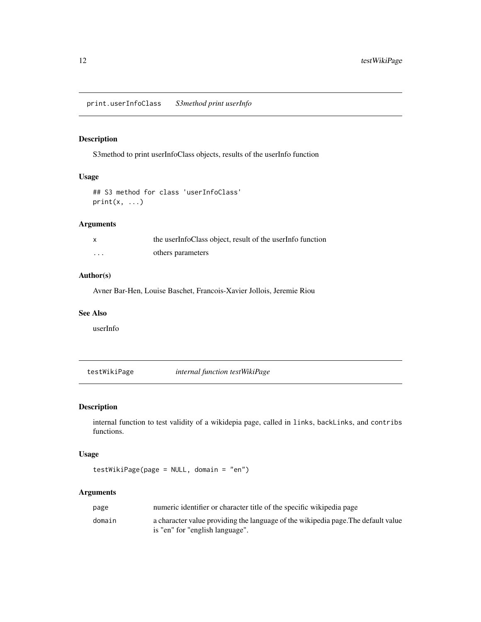<span id="page-11-0"></span>print.userInfoClass *S3method print userInfo*

## Description

S3method to print userInfoClass objects, results of the userInfo function

## Usage

## S3 method for class 'userInfoClass'  $print(x, \ldots)$ 

## Arguments

|          | the userInfoClass object, result of the userInfo function |
|----------|-----------------------------------------------------------|
| $\cdots$ | others parameters                                         |

## Author(s)

Avner Bar-Hen, Louise Baschet, Francois-Xavier Jollois, Jeremie Riou

## See Also

userInfo

testWikiPage *internal function testWikiPage*

## Description

internal function to test validity of a wikidepia page, called in links, backLinks, and contribs functions.

## Usage

```
testWikiPage(page = NULL, domain = "en")
```
## Arguments

| page   | numeric identifier or character title of the specific wikipedia page                                                 |
|--------|----------------------------------------------------------------------------------------------------------------------|
| domain | a character value providing the language of the wikipedia page. The default value<br>is "en" for "english language". |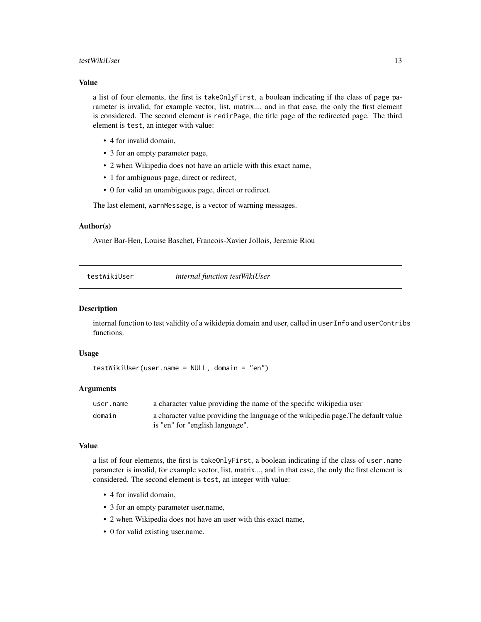#### <span id="page-12-0"></span>testWikiUser 13

## Value

a list of four elements, the first is takeOnlyFirst, a boolean indicating if the class of page parameter is invalid, for example vector, list, matrix..., and in that case, the only the first element is considered. The second element is redirPage, the title page of the redirected page. The third element is test, an integer with value:

- 4 for invalid domain,
- 3 for an empty parameter page,
- 2 when Wikipedia does not have an article with this exact name,
- 1 for ambiguous page, direct or redirect,
- 0 for valid an unambiguous page, direct or redirect.

The last element, warnMessage, is a vector of warning messages.

## Author(s)

Avner Bar-Hen, Louise Baschet, Francois-Xavier Jollois, Jeremie Riou

testWikiUser *internal function testWikiUser*

#### Description

internal function to test validity of a wikidepia domain and user, called in userInfo and userContribs functions.

## Usage

```
testWikiUser(user.name = NULL, domain = "en")
```
## Arguments

| user.name | a character value providing the name of the specific wikipedia user               |
|-----------|-----------------------------------------------------------------------------------|
| domain    | a character value providing the language of the wikipedia page. The default value |
|           | is "en" for "english language".                                                   |

#### Value

a list of four elements, the first is takeOnlyFirst, a boolean indicating if the class of user.name parameter is invalid, for example vector, list, matrix..., and in that case, the only the first element is considered. The second element is test, an integer with value:

- 4 for invalid domain,
- 3 for an empty parameter user.name,
- 2 when Wikipedia does not have an user with this exact name,
- 0 for valid existing user.name.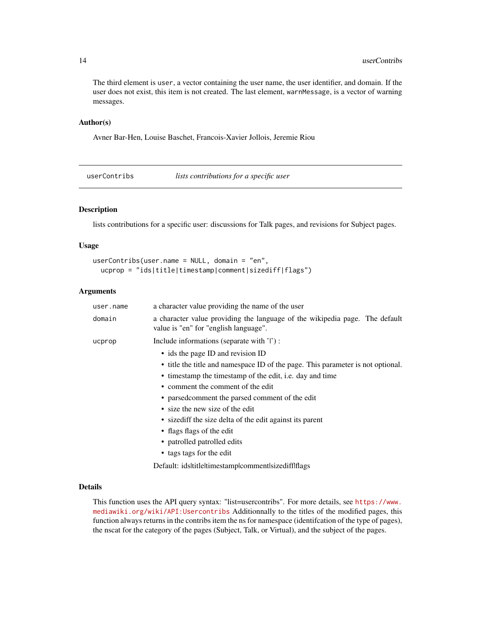The third element is user, a vector containing the user name, the user identifier, and domain. If the user does not exist, this item is not created. The last element, warnMessage, is a vector of warning messages.

## Author(s)

Avner Bar-Hen, Louise Baschet, Francois-Xavier Jollois, Jeremie Riou

userContribs *lists contributions for a specific user*

## Description

lists contributions for a specific user: discussions for Talk pages, and revisions for Subject pages.

## Usage

```
userContribs(user.name = NULL, domain = "en",
 ucprop = "ids|title|timestamp|comment|sizediff|flags")
```
## Arguments

| user.name | a character value providing the name of the user                                                                     |
|-----------|----------------------------------------------------------------------------------------------------------------------|
| domain    | a character value providing the language of the wikipedia page. The default<br>value is "en" for "english language". |
| ucprop    | Include informations (separate with ' ') :                                                                           |
|           | • ids the page ID and revision ID                                                                                    |
|           | • title the title and namespace ID of the page. This parameter is not optional.                                      |
|           | • timestamp the timestamp of the edit, i.e. day and time                                                             |
|           | • comment the comment of the edit                                                                                    |
|           | • parsed comment the parsed comment of the edit                                                                      |
|           | • size the new size of the edit                                                                                      |
|           | • sizediff the size delta of the edit against its parent                                                             |
|           | • flags flags of the edit                                                                                            |
|           | • patrolled patrolled edits                                                                                          |
|           | • tags tags for the edit                                                                                             |

Default: ids|title|timestamp|comment|sizediff|flags

## Details

This function uses the API query syntax: "list=usercontribs". For more details, see [https://www.](https://www.mediawiki.org/wiki/API:Usercontribs) [mediawiki.org/wiki/API:Usercontribs](https://www.mediawiki.org/wiki/API:Usercontribs) Additionnally to the titles of the modified pages, this function always returns in the contribs item the ns for namespace (identifcation of the type of pages), the nscat for the category of the pages (Subject, Talk, or Virtual), and the subject of the pages.

<span id="page-13-0"></span>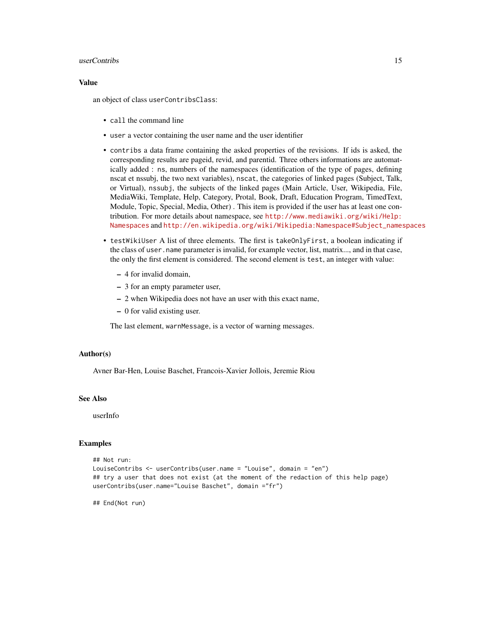#### userContribs 15

#### Value

an object of class userContribsClass:

- call the command line
- user a vector containing the user name and the user identifier
- contribs a data frame containing the asked properties of the revisions. If ids is asked, the corresponding results are pageid, revid, and parentid. Three others informations are automatically added : ns, numbers of the namespaces (identification of the type of pages, defining nscat et nssubj, the two next variables), nscat, the categories of linked pages (Subject, Talk, or Virtual), nssubj, the subjects of the linked pages (Main Article, User, Wikipedia, File, MediaWiki, Template, Help, Category, Protal, Book, Draft, Education Program, TimedText, Module, Topic, Special, Media, Other) . This item is provided if the user has at least one contribution. For more details about namespace, see [http://www.mediawiki.org/wiki/Help:](http://www.mediawiki.org/wiki/Help:Namespaces) [Namespaces](http://www.mediawiki.org/wiki/Help:Namespaces) and [http://en.wikipedia.org/wiki/Wikipedia:Namespace#Subject\\_namespaces](http://en.wikipedia.org/wiki/Wikipedia:Namespace#Subject_namespaces)
- testWikiUser A list of three elements. The first is takeOnlyFirst, a boolean indicating if the class of user.name parameter is invalid, for example vector, list, matrix..., and in that case, the only the first element is considered. The second element is test, an integer with value:
	- 4 for invalid domain,
	- 3 for an empty parameter user,
	- 2 when Wikipedia does not have an user with this exact name,
	- 0 for valid existing user.

The last element, warnMessage, is a vector of warning messages.

## Author(s)

Avner Bar-Hen, Louise Baschet, Francois-Xavier Jollois, Jeremie Riou

## See Also

userInfo

#### Examples

```
## Not run:
LouiseContribs <- userContribs(user.name = "Louise", domain = "en")
## try a user that does not exist (at the moment of the redaction of this help page)
userContribs(user.name="Louise Baschet", domain ="fr")
```
## End(Not run)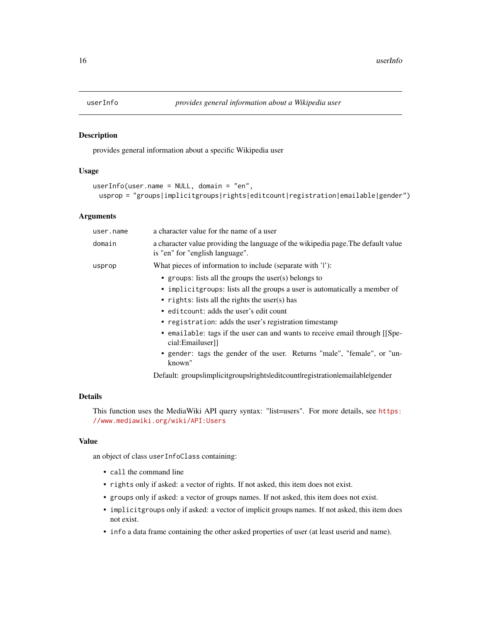<span id="page-15-0"></span>

## Description

provides general information about a specific Wikipedia user

## Usage

```
userInfo(user.name = NULL, domain = "en",
 usprop = "groups|implicitgroups|rights|editcount|registration|emailable|gender")
```
#### Arguments

| user.name | a character value for the name of a user                                                                                                                                                                                                                                                                                                                                                                                                                                            |
|-----------|-------------------------------------------------------------------------------------------------------------------------------------------------------------------------------------------------------------------------------------------------------------------------------------------------------------------------------------------------------------------------------------------------------------------------------------------------------------------------------------|
| domain    | a character value providing the language of the wikipedia page. The default value<br>is "en" for "english language".                                                                                                                                                                                                                                                                                                                                                                |
| usprop    | What pieces of information to include (separate with ' '):                                                                                                                                                                                                                                                                                                                                                                                                                          |
|           | • groups: lists all the groups the user(s) belongs to<br>• implicit groups: lists all the groups a user is automatically a member of<br>• rights: lists all the rights the user(s) has<br>• editcount: adds the user's edit count<br>• registration: adds the user's registration timestamp<br>• emailable: tags if the user can and wants to receive email through [Spe-<br>cial:Emailuser]]<br>• gender: tags the gender of the user. Returns "male", "female", or "un-<br>known" |

Default: groupslimplicitgroupslrightsleditcountlregistrationlemailable|gender

## Details

This function uses the MediaWiki API query syntax: "list=users". For more details, see [https:](https://www.mediawiki.org/wiki/API:Users) [//www.mediawiki.org/wiki/API:Users](https://www.mediawiki.org/wiki/API:Users)

#### Value

an object of class userInfoClass containing:

- call the command line
- rights only if asked: a vector of rights. If not asked, this item does not exist.
- groups only if asked: a vector of groups names. If not asked, this item does not exist.
- implicitgroups only if asked: a vector of implicit groups names. If not asked, this item does not exist.
- info a data frame containing the other asked properties of user (at least userid and name).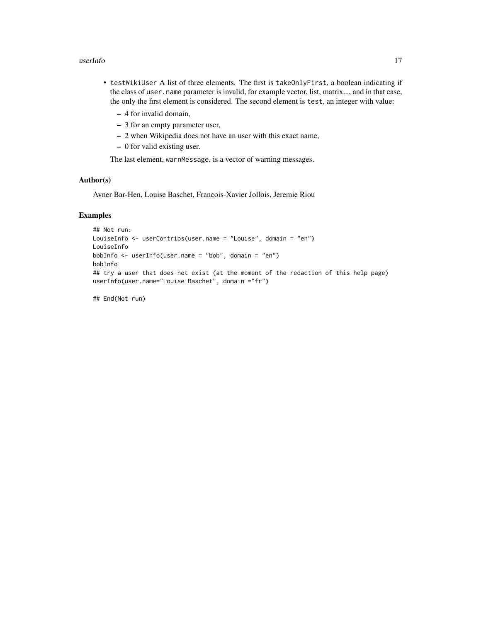#### userInfo and the contract of the contract of the contract of the contract of the contract of the contract of the contract of the contract of the contract of the contract of the contract of the contract of the contract of t

- testWikiUser A list of three elements. The first is takeOnlyFirst, a boolean indicating if the class of user.name parameter is invalid, for example vector, list, matrix..., and in that case, the only the first element is considered. The second element is test, an integer with value:
	- 4 for invalid domain,
	- 3 for an empty parameter user,
	- 2 when Wikipedia does not have an user with this exact name,
	- 0 for valid existing user.

The last element, warnMessage, is a vector of warning messages.

## Author(s)

Avner Bar-Hen, Louise Baschet, Francois-Xavier Jollois, Jeremie Riou

## Examples

```
## Not run:
LouiseInfo <- userContribs(user.name = "Louise", domain = "en")
LouiseInfo
bobInfo <- userInfo(user.name = "bob", domain = "en")
bobInfo
## try a user that does not exist (at the moment of the redaction of this help page)
userInfo(user.name="Louise Baschet", domain ="fr")
```
## End(Not run)